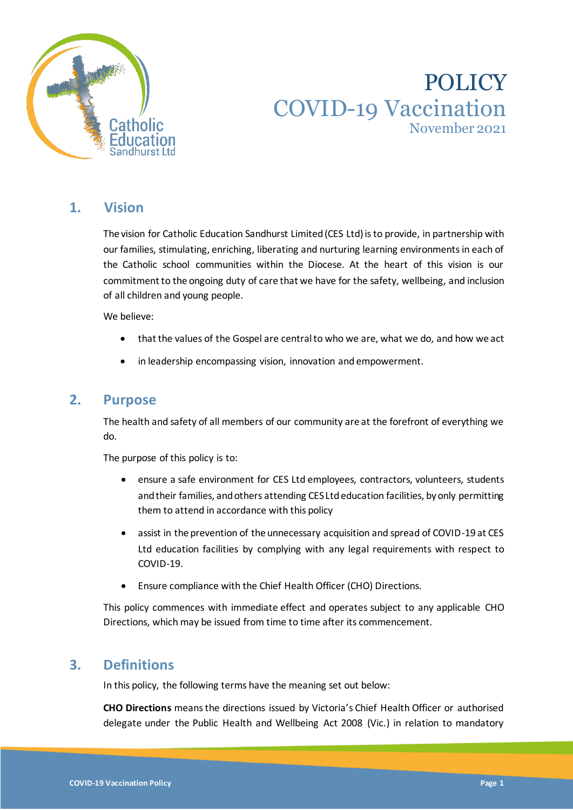

# POLICY COVID-19 Vaccination November 2021

# **1. Vision**

The vision for Catholic Education Sandhurst Limited (CES Ltd) is to provide, in partnership with our families, stimulating, enriching, liberating and nurturing learning environments in each of the Catholic school communities within the Diocese. At the heart of this vision is our commitment to the ongoing duty of care that we have for the safety, wellbeing, and inclusion of all children and young people.

We believe:

- that the values of the Gospel are central to who we are, what we do, and how we act
- in leadership encompassing vision, innovation and empowerment.

### **2. Purpose**

The health and safety of all members of our community are at the forefront of everything we do.

The purpose of this policy is to:

- ensure a safe environment for CES Ltd employees, contractors, volunteers, students and their families, and others attending CES Ltdeducation facilities, by only permitting them to attend in accordance with this policy
- assist in the prevention of the unnecessary acquisition and spread of COVID-19 at CES Ltd education facilities by complying with any legal requirements with respect to COVID-19.
- Ensure compliance with the Chief Health Officer (CHO) Directions.

This policy commences with immediate effect and operates subject to any applicable CHO Directions, which may be issued from time to time after its commencement.

# **3. Definitions**

In this policy, the following terms have the meaning set out below:

**CHO Directions** means the directions issued by Victoria's Chief Health Officer or authorised delegate under the Public Health and Wellbeing Act 2008 (Vic.) in relation to mandatory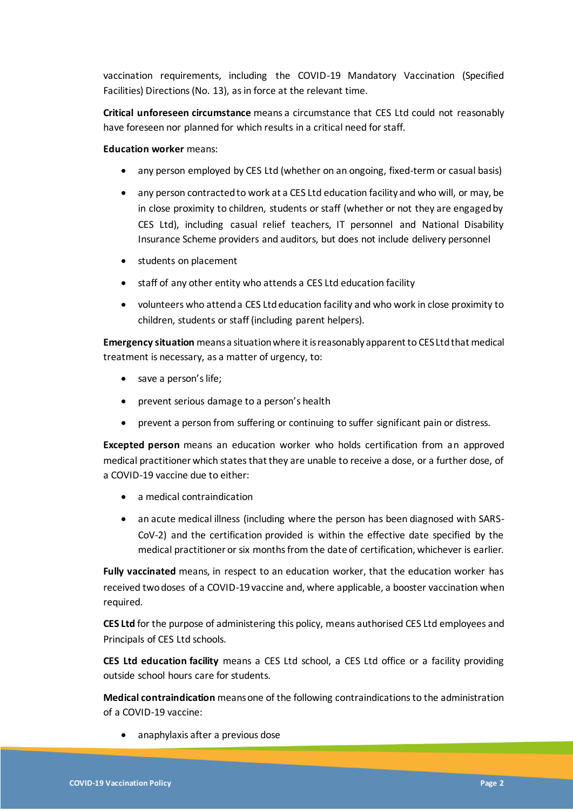vaccination requirements, including the COVID-19 Mandatory Vaccination (Specified Facilities) Directions (No. 13), as in force at the relevant time.

**Critical unforeseen circumstance** means a circumstance that CES Ltd could not reasonably have foreseen nor planned for which results in a critical need for staff.

**Education worker** means:

- any person employed by CES Ltd (whether on an ongoing, fixed-term or casual basis)
- any person contracted to work at a CES Ltd education facility and who will, or may, be in close proximity to children, students or staff (whether or not they are engaged by CES Ltd), including casual relief teachers, IT personnel and National Disability Insurance Scheme providers and auditors, but does not include delivery personnel
- students on placement
- staff of any other entity who attends a CES Ltd education facility
- volunteers who attend a CES Ltdeducation facility and who work in close proximity to children, students or staff (including parent helpers).

**Emergency situation** means a situation where it is reasonably apparent to CES Ltdthat medical treatment is necessary, as a matter of urgency, to:

- save a person's life;
- prevent serious damage to a person's health
- prevent a person from suffering or continuing to suffer significant pain or distress.

**Excepted person** means an education worker who holds certification from an approved medical practitioner which states that they are unable to receive a dose, or a further dose, of a COVID-19 vaccine due to either:

- a medical contraindication
- an acute medical illness (including where the person has been diagnosed with SARS-CoV-2) and the certification provided is within the effective date specified by the medical practitioner or six months from the date of certification, whichever is earlier.

**Fully vaccinated** means, in respect to an education worker, that the education worker has received two doses of a COVID-19 vaccine and, where applicable, a booster vaccination when required.

**CES Ltd** for the purpose of administering this policy, means authorised CES Ltd employees and Principals of CES Ltd schools.

**CES Ltd education facility** means a CES Ltd school, a CES Ltd office or a facility providing outside school hours care for students.

**Medical contraindication** means one of the following contraindications to the administration of a COVID-19 vaccine:

• anaphylaxis after a previous dose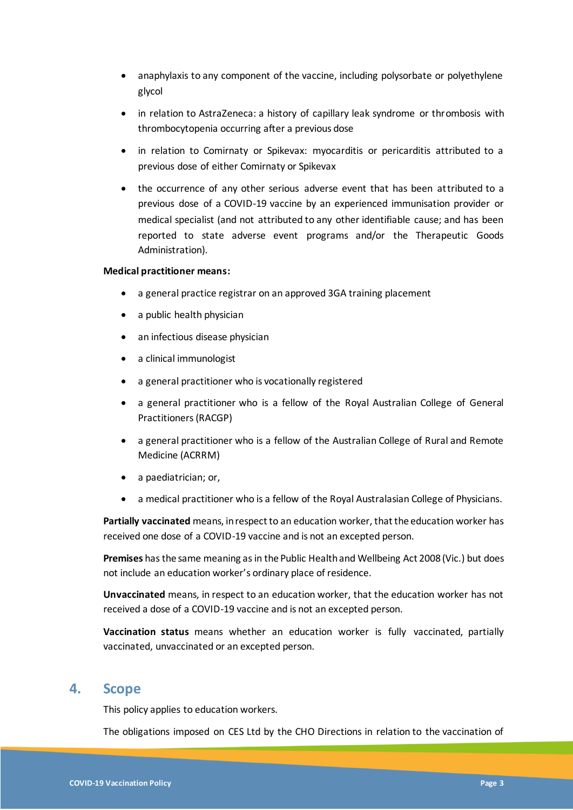- anaphylaxis to any component of the vaccine, including polysorbate or polyethylene glycol
- in relation to AstraZeneca: a history of capillary leak syndrome or thrombosis with thrombocytopenia occurring after a previous dose
- in relation to Comirnaty or Spikevax: myocarditis or pericarditis attributed to a previous dose of either Comirnaty or Spikevax
- the occurrence of any other serious adverse event that has been attributed to a previous dose of a COVID-19 vaccine by an experienced immunisation provider or medical specialist (and not attributed to any other identifiable cause; and has been reported to state adverse event programs and/or the Therapeutic Goods Administration).

#### **Medical practitioner means:**

- a general practice registrar on an approved 3GA training placement
- a public health physician
- an infectious disease physician
- a clinical immunologist
- a general practitioner who is vocationally registered
- a general practitioner who is a fellow of the Royal Australian College of General Practitioners (RACGP)
- a general practitioner who is a fellow of the Australian College of Rural and Remote Medicine (ACRRM)
- a paediatrician; or,
- a medical practitioner who is a fellow of the Royal Australasian College of Physicians.

**Partially vaccinated** means, in respect to an education worker, that the education worker has received one dose of a COVID-19 vaccine and is not an excepted person.

**Premises** has the same meaning as in the Public Health and Wellbeing Act 2008 (Vic.) but does not include an education worker's ordinary place of residence.

**Unvaccinated** means, in respect to an education worker, that the education worker has not received a dose of a COVID-19 vaccine and is not an excepted person.

**Vaccination status** means whether an education worker is fully vaccinated, partially vaccinated, unvaccinated or an excepted person.

### **4. Scope**

This policy applies to education workers.

The obligations imposed on CES Ltd by the CHO Directions in relation to the vaccination of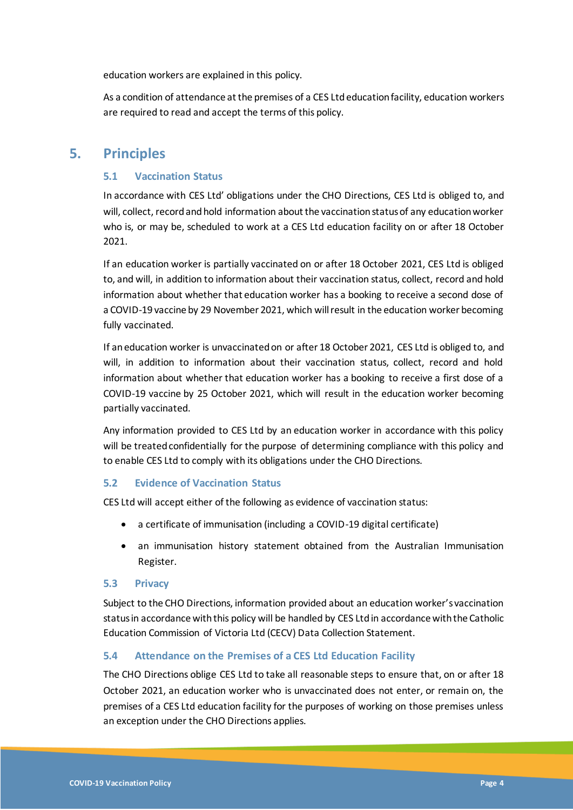education workers are explained in this policy.

As a condition of attendance at the premises of a CES Ltdeducation facility, education workers are required to read and accept the terms of this policy.

### **5. Principles**

#### **5.1 Vaccination Status**

In accordance with CES Ltd' obligations under the CHO Directions, CES Ltd is obliged to, and will, collect, record and hold information about the vaccination status of any education worker who is, or may be, scheduled to work at a CES Ltd education facility on or after 18 October 2021.

If an education worker is partially vaccinated on or after 18 October 2021, CES Ltd is obliged to, and will, in addition to information about their vaccination status, collect, record and hold information about whether that education worker has a booking to receive a second dose of a COVID-19 vaccine by 29 November 2021, which will result in the education worker becoming fully vaccinated.

If an education worker is unvaccinated on or after 18 October 2021, CES Ltd is obliged to, and will, in addition to information about their vaccination status, collect, record and hold information about whether that education worker has a booking to receive a first dose of a COVID-19 vaccine by 25 October 2021, which will result in the education worker becoming partially vaccinated.

Any information provided to CES Ltd by an education worker in accordance with this policy will be treated confidentially for the purpose of determining compliance with this policy and to enable CES Ltd to comply with its obligations under the CHO Directions.

#### **5.2 Evidence of Vaccination Status**

CES Ltd will accept either of the following as evidence of vaccination status:

- a certificate of immunisation (including a COVID-19 digital certificate)
- an immunisation history statement obtained from the Australian Immunisation Register.

#### **5.3 Privacy**

Subject to the CHO Directions, information provided about an education worker's vaccination status in accordance with this policy will be handled by CES Ltdin accordance with the Catholic Education Commission of Victoria Ltd (CECV) Data Collection Statement.

#### **5.4 Attendance on the Premises of a CES Ltd Education Facility**

The CHO Directions oblige CES Ltd to take all reasonable steps to ensure that, on or after 18 October 2021, an education worker who is unvaccinated does not enter, or remain on, the premises of a CES Ltd education facility for the purposes of working on those premises unless an exception under the CHO Directions applies.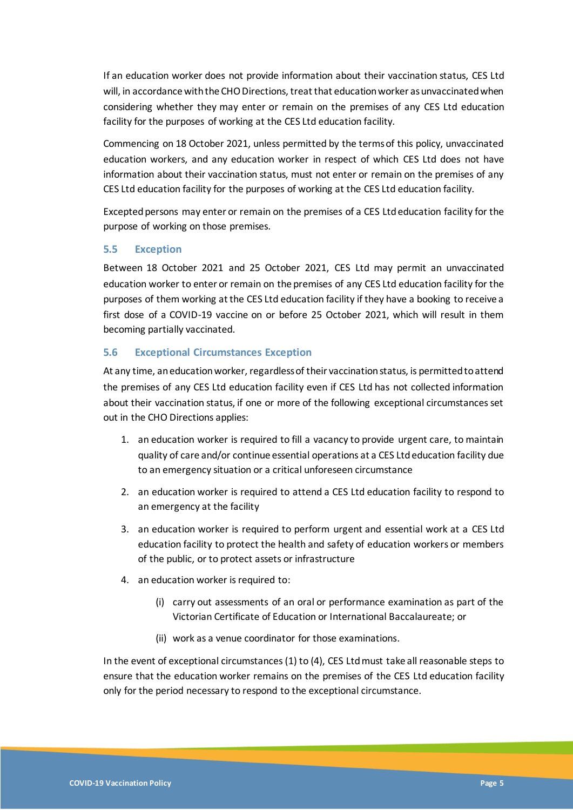If an education worker does not provide information about their vaccination status, CES Ltd will, in accordance with the CHO Directions, treat that education worker as unvaccinated when considering whether they may enter or remain on the premises of any CES Ltd education facility for the purposes of working at the CES Ltd education facility.

Commencing on 18 October 2021, unless permitted by the terms of this policy, unvaccinated education workers, and any education worker in respect of which CES Ltd does not have information about their vaccination status, must not enter or remain on the premises of any CES Ltd education facility for the purposes of working at the CES Ltd education facility.

Excepted persons may enter or remain on the premises of a CES Ltdeducation facility for the purpose of working on those premises.

#### **5.5 Exception**

Between 18 October 2021 and 25 October 2021, CES Ltd may permit an unvaccinated education worker to enter or remain on the premises of any CES Ltd education facility for the purposes of them working at the CES Ltd education facility if they have a booking to receive a first dose of a COVID-19 vaccine on or before 25 October 2021, which will result in them becoming partially vaccinated.

#### **5.6 Exceptional Circumstances Exception**

At any time, an education worker, regardless of their vaccination status, is permitted to attend the premises of any CES Ltd education facility even if CES Ltd has not collected information about their vaccination status, if one or more of the following exceptional circumstances set out in the CHO Directions applies:

- 1. an education worker is required to fill a vacancy to provide urgent care, to maintain quality of care and/or continue essential operations at a CES Ltdeducation facility due to an emergency situation or a critical unforeseen circumstance
- 2. an education worker is required to attend a CES Ltd education facility to respond to an emergency at the facility
- 3. an education worker is required to perform urgent and essential work at a CES Ltd education facility to protect the health and safety of education workers or members of the public, or to protect assets or infrastructure
- 4. an education worker is required to:
	- (i) carry out assessments of an oral or performance examination as part of the Victorian Certificate of Education or International Baccalaureate; or
	- (ii) work as a venue coordinator for those examinations.

In the event of exceptional circumstances (1) to (4), CES Ltdmust take all reasonable steps to ensure that the education worker remains on the premises of the CES Ltd education facility only for the period necessary to respond to the exceptional circumstance.